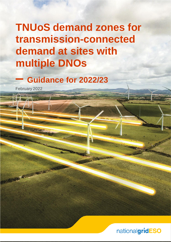# **TNUoS demand zones for transmission-connected demand at sites with multiple DNOs**

## **– Guidance for 2022/23**

February 2022

REACHING REAL

## nationalgridESO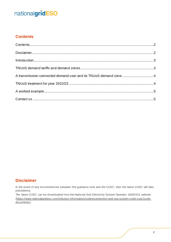#### <span id="page-1-0"></span>**Contents**

#### <span id="page-1-1"></span>**Disclaimer**

In the event of any inconsistencies between this guidance note and the CUSC, then the latest CUSC will take precedence.

The latest CUSC can be downloaded from the National Grid Electricity System Operator (NGESO) website [\(https://www.nationalgrideso.com/industry-information/codes/connection-and-use-system-code-cusc/code](https://www.nationalgrideso.com/industry-information/codes/connection-and-use-system-code-cusc/code-documents)[documents\)](https://www.nationalgrideso.com/industry-information/codes/connection-and-use-system-code-cusc/code-documents).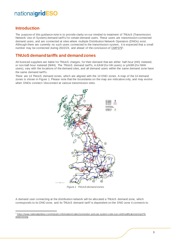#### <span id="page-2-0"></span>**Introduction**

The purpose of this guidance note is to provide clarity on our minded-to treatment of TNUoS (Transmission Network Use of System) demand tariffs for certain demand users. These users are transmission-connected demand users, and are connected at sites where multiple Distribution Network Operators (DNOs) exist. Although there are currently no such users connected to the transmission system, it is expected that a small number may be connected during 2022/23, and ahead of the conclusion o[f CMP379](https://www.nationalgrideso.com/industry-information/codes/connection-and-use-system-code-cusc-old/modifications/cmp379-determining)<sup>1</sup>.

#### <span id="page-2-1"></span>**TNUoS demand tariffs and demand zones**

All licenced suppliers are liable for TNUoS charges, for their demand that are either half-hour (HH) metered, or non-half-hour metered (NHH). The TNUoS demand tariffs, in £/kW (for HH users) or p/kWh (for NHH users), vary with the locations of the demand sites, and all demand users within the same demand zone have the same demand tariffs.

There are 14 TNUoS demand zones, which are aligned with the 14 DNO zones. A map of the 14 demand zones is shown i[n Figure 1.](#page-2-2) Please note that the boundaries on the map are indicative only, and may evolve when DNOs connect / disconnect at various transmission sites.



*Figure 1 TNUoS demand zones*

<span id="page-2-2"></span>A demand user connecting at the distribution network will be allocated a TNUoS demand zone, which corresponds to its DNO zone, and its TNUoS demand tariff is dependent on the DNO zone it connects to.

<sup>1</sup> [https://www.nationalgrideso.com/industry-information/codes/connection-and-use-system-code-cusc-old/modifications/cmp379](https://www.nationalgrideso.com/industry-information/codes/connection-and-use-system-code-cusc-old/modifications/cmp379-determining) [determining](https://www.nationalgrideso.com/industry-information/codes/connection-and-use-system-code-cusc-old/modifications/cmp379-determining)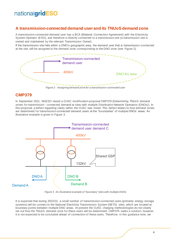#### <span id="page-3-0"></span>**A transmission-connected demand user and its TNUoS demand zone**

A transmission-connected demand user has a BCA (Bilateral Connection Agreement) with the Electricity System Operator (ESO), and therefore is directly connected to a transmission site (a transmission site is owned and maintained by the relevant Transmission Owner).

If the transmission site falls within a DNO's geographic area, the demand user that is transmission-connected at the site, will be assigned to the demand zone corresponding to the DNO zone (see [Figure 2\)](#page-3-2).



*Figure 2 Assigning demand zone for a transmission-connected user*

#### <span id="page-3-2"></span>**CMP379**

In September 2021, NGESO raised a CUSC modification proposal CMP379 (Determining TNUoS demand zones for transmission - connected demand at sites with multiple Distribution Network Operators (DNOs)). In this proposal, a defect regarding clarity within the CUSC was noted. This defect relates to how demand zones are determined for transmission-connected demand users at the "boundaries" of multiple DNOs' areas. An illustrative example is given in [Figure 3.](#page-3-3)



*Figure 3 An illustrative example of "boundary" sites with multiple DNOs*

<span id="page-3-3"></span><span id="page-3-1"></span>It is expected that during 2022/23, a small number of transmission-connected users (primarily energy storage systems) will be connect to the National Electricity Transmission System (NETS) sites, which are located at boundary points between multiple DNO areas. At present the CUSC charging methodologies do not clearly set out how the TNUoS demand zone for these users will be determined. CMP379 seeks a solution, however, it is not expected to be concluded ahead of connection of these users. Therefore, in this guidance note, we